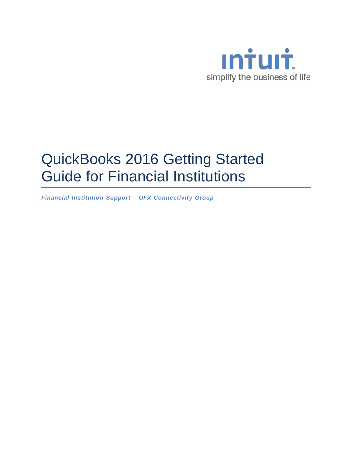

# QuickBooks 2016 Getting Started Guide for Financial Institutions

*Financial Institution Support – OFX Connectivity Group*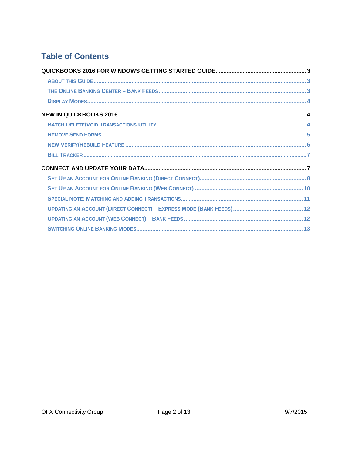# **Table of Contents**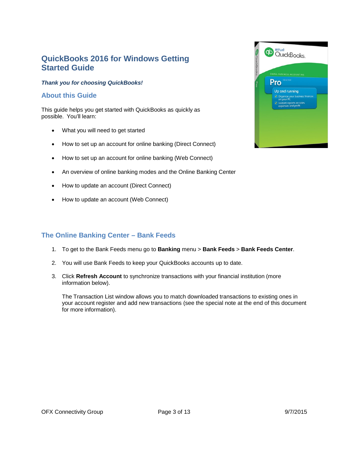# <span id="page-2-0"></span>**QuickBooks 2016 for Windows Getting Started Guide**

#### *Thank you for choosing QuickBooks!*

### <span id="page-2-1"></span>**About this Guide**

This guide helps you get started with QuickBooks as quickly as possible. You'll learn:

- What you will need to get started
- How to set up an account for online banking (Direct Connect)
- How to set up an account for online banking (Web Connect)
- An overview of online banking modes and the Online Banking Center
- How to update an account (Direct Connect)
- How to update an account (Web Connect)

## <span id="page-2-2"></span>**The Online Banking Center – Bank Feeds**

- 1. To get to the Bank Feeds menu go to **Banking** menu > **Bank Feeds** > **Bank Feeds Center**.
- 2. You will use Bank Feeds to keep your QuickBooks accounts up to date.
- 3. Click **Refresh Account** to synchronize transactions with your financial institution (more information below).

The Transaction List window allows you to match downloaded transactions to existing ones in your account register and add new transactions (see the special note at the end of this document for more information).

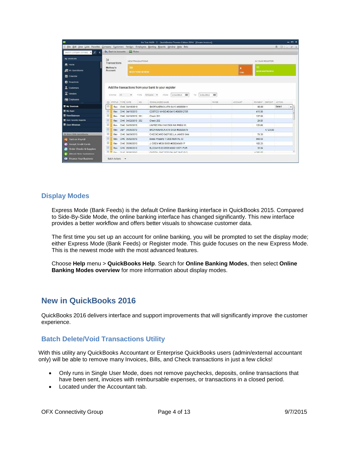| $\bullet$                       |                          |                         | Co Test 0429 - 3 - QuickBooks Premier Edition 2014 - [Create Invoices]                                |       |                      |                        |                             | $  x$ |
|---------------------------------|--------------------------|-------------------------|-------------------------------------------------------------------------------------------------------|-------|----------------------|------------------------|-----------------------------|-------|
|                                 |                          |                         | E File Edit View Lists Favorites Company Cystomers Vendors Employees Banking Beports Window Help Beta |       |                      |                        | $A$ $\odot$ $\cdot$ $s$ $x$ |       |
| Search Company or Help - D      | 4 Back to Accounts       | <b>Rules</b>            |                                                                                                       |       |                      |                        |                             |       |
| My Shortcuts                    | 34<br>Transactions       | NEW TRANSACTIONS        |                                                                                                       |       |                      | IN YOUR REGISTER       |                             |       |
| <b>Home</b>                     | Melissa's                | 30                      |                                                                                                       |       | $\blacktriangleleft$ | 11                     |                             |       |
| My QuickBooks                   | Account                  | <b>NEED YOUR REVIEW</b> |                                                                                                       |       | CHG                  | <b>ADDED/APPROVED</b>  |                             |       |
| Calendar                        |                          |                         |                                                                                                       |       |                      |                        |                             |       |
| Snapshots                       |                          |                         |                                                                                                       |       |                      |                        |                             |       |
| 2 Customers                     |                          |                         | Add the transactions from your bank to your register                                                  |       |                      |                        |                             |       |
| $\mathbf{\overline{F}}$ Vendors | All<br>STATUS            | TYPE<br>۰               | 169<br>3/14/2013<br>TQ.<br>5/31/2013<br>All types .<br>FROM                                           | 单     |                      |                        |                             |       |
| <b>PE</b> Employees             | STATUS   TYPE DATE<br>E) | NO.                     | DOWNLOADED NAME                                                                                       | PAYEE | <b>ACCOUNT</b>       | PAYMENT DEPOSIT ACTION |                             |       |
| <b>M</b> My Shortcuts           | 目                        | Rev CHK 04/15/2013      | BKOFAMERICA ATM 04/13 #00000611                                                                       |       |                      | 60.00                  | Select                      | ٠     |
| <b>My Apps</b>                  | ▣                        | Rev CHK 04/15/2013      | COSTCO WHSE #0 04/13 #000912705                                                                       |       |                      | 415.90                 |                             |       |
| View Balances                   | <b>O</b><br>Rev          | CHK 04/19/2013 251      | Check 251                                                                                             |       |                      | 127.89                 |                             |       |
| <b>W</b> Run Favorite Reports   | 四<br>Rev                 | CHK 04/22/2013 252      | Check 252                                                                                             |       |                      | 29.05                  |                             |       |
| Open Windows                    | G<br>Rev                 | CHK 04/25/2013          | UNITED FIN CAS DES INS PREM ID                                                                        |       |                      | 125.66                 |                             |       |
|                                 | o<br>Rev                 | DEP 04/26/2013          | BKOFAMERICA ATM 04/26 #00000879                                                                       |       |                      | 4.123.00               |                             |       |
| Do More With QuickBooks         | 回                        | Rev CHK 04/29/2013      | CHECKCARD 0427 BELLA JAMES SAN                                                                        |       |                      | 78.30                  |                             |       |
| <b>ord</b> Turn on Payroll      | $\Box$<br>Rev            | CHK 05/02/2013          | Essex Property T DES:RENTAL ID:                                                                       |       |                      | 980 50                 |                             |       |
| Accept Credit Cards             | ▥<br>Rev                 | CHK 05/06/2013          | J. CREW #538 05/05 #000249401 P                                                                       |       |                      | 102.23                 |                             |       |
| Order Checks & Supplies         | O<br>Rev                 | CHK 05/06/2013          | BLOOMYS 03 05/05 #000119571 PUR                                                                       |       |                      | 35.94                  |                             |       |
| <b>Attract New Customers</b>    | ED 3<br>$P_{\text{b}}$   | new acmonses            | CADITAL ONE OF CONTINE BATTISS                                                                        |       |                      | $A$ $AAB$ $A7$         |                             | o.    |
| <b>EX</b> Finance Your Business | Batch Actions -          |                         |                                                                                                       |       |                      |                        |                             |       |

#### <span id="page-3-0"></span>**Display Modes**

Express Mode (Bank Feeds) is the default Online Banking interface in QuickBooks 2015. Compared to Side-By-Side Mode, the online banking interface has changed significantly. This new interface provides a better workflow and offers better visuals to showcase customer data.

The first time you set up an account for online banking, you will be prompted to set the display mode; either Express Mode (Bank Feeds) or Register mode. This guide focuses on the new Express Mode. This is the newest mode with the most advanced features.

Choose **Help** menu > **QuickBooks Help**. Search for **Online Banking Modes**, then select **Online Banking Modes overview** for more information about display modes.

# <span id="page-3-1"></span>**New in QuickBooks 2016**

QuickBooks 2016 delivers interface and support improvements that will significantly improve the customer experience.

#### <span id="page-3-2"></span>**Batch Delete/Void Transactions Utility**

With this utility any QuickBooks Accountant or Enterprise QuickBooks users (admin/external accountant only) will be able to remove many Invoices, Bills, and Check transactions in just a few clicks!

- Only runs in Single User Mode, does not remove paychecks, deposits, online transactions that have been sent, invoices with reimbursable expenses, or transactions in a closed period.
- Located under the Accountant tab.

OFX Connectivity Group **Page 4 of 13** Page 4 of 13 9/7/2015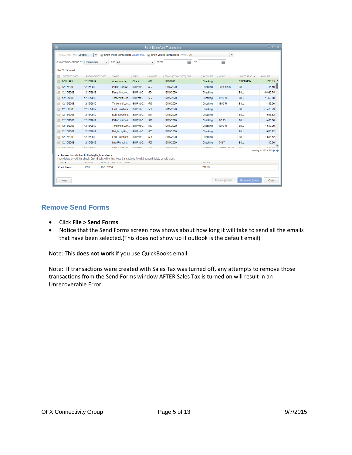| 回                                                                                                                                                                  |                           |                                                                         |                               |                                         | <b>Batch Delete/Void Transactions</b> |                |                       |                                    |                            | $  \times$                  |
|--------------------------------------------------------------------------------------------------------------------------------------------------------------------|---------------------------|-------------------------------------------------------------------------|-------------------------------|-----------------------------------------|---------------------------------------|----------------|-----------------------|------------------------------------|----------------------------|-----------------------------|
| <b>TRANSACTION TYPE Checks</b>                                                                                                                                     | $\overline{\phantom{a}}$  | Show linked transactions What's this? Now voided transactions PAYEE All |                               |                                         |                                       |                |                       | $\overline{\phantom{a}}$           |                            |                             |
| SHOW TRANSACTIONS BY Entered date                                                                                                                                  |                           | FOR All<br>$\overline{\phantom{a}}$                                     |                               | $\overline{\phantom{a}}$<br><b>FROM</b> |                                       | 繭<br><b>TO</b> |                       | 雦                                  |                            |                             |
|                                                                                                                                                                    |                           |                                                                         |                               |                                         |                                       |                |                       |                                    |                            |                             |
| 0 of 521 Selected                                                                                                                                                  |                           |                                                                         |                               |                                         |                                       |                |                       |                                    |                            |                             |
| ENTERED DATE                                                                                                                                                       | <b>LAST MODIFIED DATE</b> | PAYEE                                                                   | TYPE                          | NUMBER                                  | TRANSACTION DATE: CLR                 |                | <b>ACCOUNT</b>        | <b>MEMO</b>                        | LINKED TRNS <b>v</b>       | : AMOUNT                    |
| 7/30/1999                                                                                                                                                          | 12/15/2019                | Abercrombie                                                             | <b>Check</b>                  | 476                                     | 12/1/2020                             |                | Checking              |                                    | <b>CREDMEM</b>             | $-711.15$ $-$               |
| 12/15/2003                                                                                                                                                         | 12/15/2019                |                                                                         | Patton Hardwa Bill Pmt-C      | 503                                     | 12/15/2020                            |                | Checking              | Bill #35698                        | <b>BILL</b>                | $-754.50$                   |
| 12/15/2003                                                                                                                                                         | 12/15/2019                | Perry Window                                                            | Bill Pmt-C                    | 504                                     | 12/15/2020                            |                | Checking              |                                    | <b>BILL</b>                | $-6.935.75$                 |
| 12/15/2003                                                                                                                                                         | 12/15/2019                |                                                                         | Timberloft Lum Bill Pmt-C 507 |                                         | 12/15/2020                            |                | Checking              | 1890-76                            | <b>BILL</b>                | $-1.358.00$                 |
| 12/15/2003                                                                                                                                                         | 12/15/2019                |                                                                         | Timberloft Lum Bill Pmt-C     | 510                                     | 12/15/2020                            |                | Checking              | 1890-76                            | <b>BILL</b>                | $-896.00$                   |
| 12/15/2003                                                                                                                                                         | 12/15/2019                |                                                                         | East Bayshore Bill Pmt-C      | 508                                     | 12/15/2020                            |                | Checking              |                                    | <b>BILL</b>                | $-1.476.23$                 |
| 12/15/2003                                                                                                                                                         | 12/15/2019                |                                                                         | East Bayshore   Bill Pmt-C    | 511                                     | 12/15/2020                            |                | Checking              |                                    | <b>BILL</b>                | $-696.52$                   |
| 12/15/2003                                                                                                                                                         | 12/15/2019                |                                                                         | Patton Hardwa Bill Pmt-C 512  |                                         | 12/15/2020                            |                | Checking              | <b>RC 93</b>                       | <b>BILL</b>                | $-400.00$                   |
| 12/15/2003                                                                                                                                                         | 12/15/2019                |                                                                         | Timberloft Lum Bill Pmt-C     | 513                                     | 12/15/2020                            |                | Checking              | 1890-76                            | <b>BILL</b>                | $-1.610.00$                 |
| 12/15/2003                                                                                                                                                         | 12/15/2019                | Daigle Lighting                                                         | Bill Pmt-C                    | 502                                     | 12/15/2020                            |                | Checking              |                                    | <b>BILL</b>                | $-640.92$                   |
| 12/15/2003                                                                                                                                                         | 12/15/2019                | East Bayshore                                                           | Bill Pmt-C                    | 506                                     | 12/15/2020                            |                | Checking              |                                    | <b>BILL</b>                | $-1.631.52$                 |
| 12/15/2003                                                                                                                                                         | 12/15/2019                | Lew Plumbing                                                            | Bill Pmt-C   505              |                                         | 12/15/2020                            |                | Checking              | 5-487                              | <b>BILL</b>                | $-45.00$                    |
| $ \mu$ nurmana                                                                                                                                                     | <b><i>ARIAPINAAN</i></b>  | <b>Continued by Continued States</b>                                    | <b>DILDULA</b>                | $\sim$                                  | <b><i>ARIANARAN</i></b>               |                | <b>Charles Common</b> | <b>Address Made of Texas and a</b> | mar a                      | Fon on                      |
|                                                                                                                                                                    |                           |                                                                         |                               |                                         |                                       |                |                       |                                    |                            | Showing 1 - 250 of 521 ( 1) |
| Transactions linked to the highlighted check<br>If you delete or yoid this check. QuickBooks will unlink these transactions from it but won't delete or yoid them. |                           |                                                                         |                               |                                         |                                       |                |                       |                                    |                            |                             |
| <b>TYPE V</b>                                                                                                                                                      | <b>NUMBER</b>             | TRANSACTION DATE : MEMO                                                 |                               |                                         |                                       |                | AMOUNT                |                                    |                            |                             |
| <b>Credit Memo</b>                                                                                                                                                 | 4002                      | 12/01/2020                                                              |                               |                                         |                                       |                | 711.15                |                                    |                            |                             |
|                                                                                                                                                                    |                           |                                                                         |                               |                                         |                                       |                |                       |                                    |                            |                             |
| Help                                                                                                                                                               |                           |                                                                         |                               |                                         |                                       |                |                       | <b>Review &amp; Void</b>           | <b>Review &amp; Delete</b> | Close                       |
|                                                                                                                                                                    |                           |                                                                         |                               |                                         |                                       |                |                       |                                    |                            |                             |

## **Remove Send Forms**

- Click **File > Send Forms**
- Notice that the Send Forms screen now shows about how long it will take to send all the emails that have been selected.(This does not show up if outlook is the default email)

Note: This **does not work** if you use QuickBooks email.

Note: If transactions were created with Sales Tax was turned off, any attempts to remove those transactions from the Send Forms window AFTER Sales Tax is turned on will result in an Unrecoverable Error.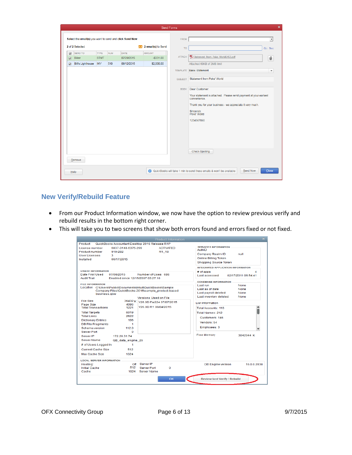<span id="page-5-0"></span>

|                                            |                                                         |             |            |                          |                          | Send Forms     |                                                                                                                                                                                                             |
|--------------------------------------------|---------------------------------------------------------|-------------|------------|--------------------------|--------------------------|----------------|-------------------------------------------------------------------------------------------------------------------------------------------------------------------------------------------------------------|
|                                            | Select the email(s) you want to send and click Send Now |             |            |                          |                          | <b>FROM</b>    | $\blacktriangledown$                                                                                                                                                                                        |
|                                            | 2 of 2 Selected                                         |             |            |                          | 2 email(s) to Send       | <b>TO</b>      | Cc: Bcc:                                                                                                                                                                                                    |
| $\overline{\checkmark}$                    | <b>SEND TO</b>                                          | <b>TYPE</b> | <b>NUM</b> | <b>DATE</b>              | <b>AMOUNT</b>            | <b>ATTACH</b>  | Statement from Poke World6452.pdf                                                                                                                                                                           |
| $\triangledown$<br>$\overline{\checkmark}$ | <b>Biker</b><br>Bill's Lighthouse INV                   | <b>STMT</b> | 510        | 07/29/2015<br>08/12/2015 | $-$331.00$<br>\$2,000.00 |                | 0<br>Attached 60KB of 2MB limit                                                                                                                                                                             |
|                                            |                                                         |             |            |                          |                          |                | <b>TEMPLATE Basic Statement</b><br>$\blacktriangledown$                                                                                                                                                     |
|                                            |                                                         |             |            |                          |                          | <b>SUBJECT</b> | <b>Statement from Poke' World</b>                                                                                                                                                                           |
|                                            |                                                         |             |            |                          |                          | <b>BODY</b>    | Dear Customer:<br>Your statement is attached. Please remit payment at your earliest<br>convenience.<br>Thank you for your business - we appreciate it very much.<br>Sincerely,<br>Poke' World<br>1234567890 |
|                                            | Remove                                                  |             |            |                          |                          |                | <b>Check Spelling</b>                                                                                                                                                                                       |

## **New Verify/Rebuild Feature**

- From our Product Information window, we now have the option to review previous verify and rebuild results in the bottom right corner.
- This will take you to two screens that show both errors found and errors fixed or not fixed.

|                                                                                                                                                                                                                                                                                                                                                                                                                           | <b>Product Information</b>                                                                                                                                                                                    |                                                                                                                                                                                                                                                                                                                                                                                            |
|---------------------------------------------------------------------------------------------------------------------------------------------------------------------------------------------------------------------------------------------------------------------------------------------------------------------------------------------------------------------------------------------------------------------------|---------------------------------------------------------------------------------------------------------------------------------------------------------------------------------------------------------------|--------------------------------------------------------------------------------------------------------------------------------------------------------------------------------------------------------------------------------------------------------------------------------------------------------------------------------------------------------------------------------------------|
| Product                                                                                                                                                                                                                                                                                                                                                                                                                   | QuickBooks Accountant Desktop 2016 Release R1P                                                                                                                                                                |                                                                                                                                                                                                                                                                                                                                                                                            |
| License number<br>6837-0148-6375-299<br><b>Product number</b><br>919-282<br><b>UserLicenses</b><br>3<br>Installed<br>06/17/2015                                                                                                                                                                                                                                                                                           | <b>ACTIVATED</b><br>R1 18                                                                                                                                                                                     | <b>SERVICES INFORMATION</b><br>AuthID<br>Company Realm ID<br>null<br><b>Online Billing Token</b><br><b>Shopping Source Token</b>                                                                                                                                                                                                                                                           |
| <b>USAGE INFORMATION</b><br>07/08/2015<br>Date First Used<br><b>Audit Trail</b><br><b>FILE INFORMATION</b><br>Location C:\Users\Public\Documents\Intuit\QuickBooks\Sample<br>business.abw<br>File Size<br>Page Size<br>4096<br><b>Total Transactions</b><br>1221<br>6019<br><b>Total Targets</b><br><b>Total Links</b><br>2622<br><b>Dictionary Entries</b><br>196<br><b>DB File Fragments</b><br>Schema version<br>112.0 | Number of Uses 686<br>Enabled since 12/15/2007 03:27:10<br>Company Files\QuickBooks 2016\sample_product-based<br><b>Versions Used on File</b><br>36432 K V26.0D Pw224 07/07/2015<br>V26.0D R1 08/04/2015<br>1 | INTEGRATED APPLICATION INFORMATION<br>$#$ of apps<br>4<br>Last accessed<br>02/17/2011 06:54:41<br><b>CONDENSE INFORMATION</b><br><b>None</b><br>Last run<br>Last as of date<br>None<br>Last payroll deleted<br><b>None</b><br>Last inventory deleted<br><b>None</b><br><b>List Information</b><br>Total Accounts: 116<br>Total Names: 212<br>Customers: 146<br>Vendors: 54<br>Employees: 3 |
| Server Port<br>Server IP<br>172.20.31.74<br><b>Server Name</b><br>QB data engine 26<br># of Users Logged In<br><b>Current Cache Size</b><br>512<br>1024<br>Max Cache Size                                                                                                                                                                                                                                                 | $\Omega$<br>1                                                                                                                                                                                                 | <b>Free Memory</b><br>3042044 K                                                                                                                                                                                                                                                                                                                                                            |
| <b>LOCAL SERVER INFORMATION</b><br>Hosting:<br><b>Initial Cache</b><br>Cache                                                                                                                                                                                                                                                                                                                                              | Off Server IP<br>512<br><b>Server Port</b><br>$\mathbf 0$<br>1024<br><b>Server Name</b><br>OK                                                                                                                 | <b>DB</b> Engine version<br>16.0.0.2038<br><b>Review last Verify / Rebuild</b>                                                                                                                                                                                                                                                                                                             |

OFX Connectivity Group **Page 6 of 13** Page 6 of 13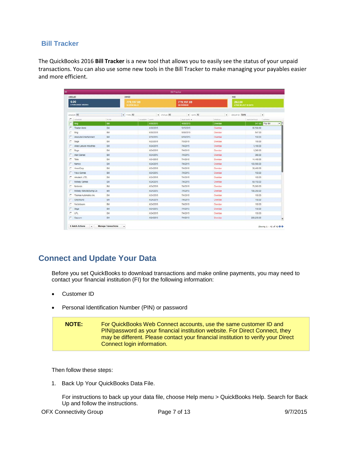### **Bill Tracker**

The QuickBooks 2016 **Bill Tracker** is a new tool that allows you to easily see the status of your unpaid transactions. You can also use some new tools in the Bill Tracker to make managing your payables easier and more efficient.

<span id="page-6-0"></span>

|                   |                              |               |                             | <b>Bill Tracker</b>             |               |                                 |
|-------------------|------------------------------|---------------|-----------------------------|---------------------------------|---------------|---------------------------------|
| UNB3LLED          |                              | <b>UMPADD</b> |                             |                                 | PAID          |                                 |
| 0.00              | <b>&amp; PURCHASE ORDERS</b> |               | 779,197.69<br>38-DPEN BILLS | 779,197.69<br><b>38 OVERDUE</b> |               | 263.00<br>4 PAID BELATE 20 DAYS |
| <b>VENDOR All</b> |                              | - Type All    | - STATUS All                | $-$ DATE All                    |               | · GROUP BY NOME<br>$\bullet$    |
|                   | $\Gamma$ vrispon             | <b>Linne</b>  | NUMBER DATE                 | DUE DATE A                      | <b>STATUS</b> | AMOUNT DUE<br>ACTION            |
|                   | <b>Sing</b>                  | BIL           | 6/30/2015                   | 4/30/2015                       | Overdue       | 뫄<br>547.00 Pay Bill            |
| п                 | <b>Tibetan Monk</b>          | BI            | 6/30/2015                   | 5/15/2015                       | Overdue       | 95,598.69                       |
| г                 | <b>Sing</b>                  | Bill          | 6/30/2015                   | 5/30/2015                       | Overdue       | 547.00                          |
|                   | Absolute Entertainment       | <b>Bill</b>   | 6/18/2015                   | 6/18/2015                       | Overdue       | 150.00                          |
| п.                | Sega                         | BII           | 6/23/2015                   | 7/3/2015                        | Overdue       | 150.00                          |
|                   | Allied Leisure Industries    | BIL           | 6/24/2015                   | 7/4/2015                        | Overdue       | 5.100.00                        |
| г                 | Sega                         | Bill          | 6/24/2015                   | 7/4/2015                        | Overdue       | 9,300.00                        |
|                   | Atan Games                   | Bill          | 6/24/2015                   | 7/4/2015                        | Overdue       | 300.00                          |
| п                 | Taito.                       | BII           | 6/24/2015                   | 7/4/2015                        | Overdue       | 14,400.00                       |
| г.                | Namco                        | BIL           | 6/24/2015                   | 7/4/2015                        | Overdue       | 103,500.00                      |
|                   | AmeriCorp                    | Bill          | 6/24/2015                   | 7/4/2015                        | Overdue       | 30,450.00                       |
|                   | Visco Games                  | Bill.         | 6/24/2015                   | 7/4/2015                        | Overdue       | 150.00                          |
| г.                | Amutech, LTD.                | BIL           | 6/24/2015                   | 7/4/2015                        | Overdue       | 150.00                          |
|                   | Midway Games                 | BIL           | 6/24/2015                   | 7/4/2015                        | Overdue       | 69,150.00                       |
| п                 | Nintendo                     | Bit           | 6/24/2015                   | 7/4/2015                        | Overdue       | 73,950.00                       |
|                   | Midway Manufacturing Co.     | Bill          | 6/24/2015                   | 7/4/2015                        | Overdue       | 106.350.00                      |
| г                 | Thomas Automatics Inc.       | Bill          | 6/24/2015                   | 7/4/2015                        | Overdue       | 150.00                          |
| п                 | Greyhound                    | BIL           | 6/24/2015                   | 7/4/2015                        | Overdue       | 150.00                          |
| г.                | Veclorbeam                   | Bill          | 6/24/2015                   | 7/4/2015                        | Overdue       | 150.00                          |
| r.                | Sega                         | Bit           | 6/24/2015                   | 7/4/2015                        | Overdue       | 150.00                          |
| $\Gamma$ UPL      |                              | Bill          | 6/24/2015                   | 7/4/2015                        | Overdue       | 150.00                          |
|                   | <b>Capcom</b>                | Bill          | 6/24/2015                   | 7/4/2015                        | Overdue       | 200,250.00                      |

# **Connect and Update Your Data**

Before you set QuickBooks to download transactions and make online payments, you may need to contact your financial institution (FI) for the following information:

- Customer ID
- Personal Identification Number (PIN) or password

| <b>NOTE:</b> | For QuickBooks Web Connect accounts, use the same customer ID and<br>PIN/password as your financial institution website. For Direct Connect, they |
|--------------|---------------------------------------------------------------------------------------------------------------------------------------------------|
|              | may be different. Please contact your financial institution to verify your Direct<br>Connect login information.                                   |

Then follow these steps:

1. Back Up Your QuickBooks Data File.

For instructions to back up your data file, choose Help menu > QuickBooks Help. Search for Back Up and follow the instructions.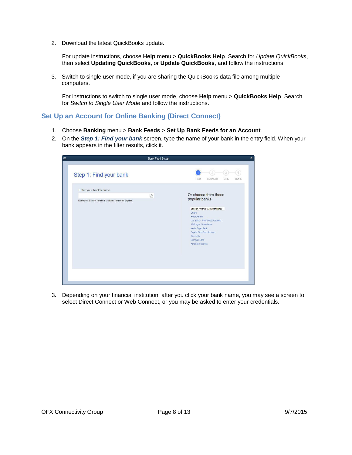2. Download the latest QuickBooks update.

For update instructions, choose **Help** menu > **QuickBooks Help**. Search for *Update QuickBooks*, then select **Updating QuickBooks**, or **Update QuickBooks**, and follow the instructions.

3. Switch to single user mode, if you are sharing the QuickBooks data file among multiple computers.

For instructions to switch to single user mode, choose **Help** menu > **QuickBooks Help**. Search for *Switch to Single User Mode* and follow the instructions.

#### <span id="page-7-0"></span>**Set Up an Account for Online Banking (Direct Connect)**

- 1. Choose **Banking** menu > **Bank Feeds** > **Set Up Bank Feeds for an Account**.
- 2. On the *Step 1: Find your bank* screen, type the name of your bank in the entry field. When your bank appears in the filter results, click it.

| Bank Feed Setup                                                    |                                                                                                                                                                                                                                |
|--------------------------------------------------------------------|--------------------------------------------------------------------------------------------------------------------------------------------------------------------------------------------------------------------------------|
| Step 1: Find your bank                                             | <b>FIND</b><br>LINK<br>CONNECT<br>DONE                                                                                                                                                                                         |
| Enter your bank's name                                             |                                                                                                                                                                                                                                |
| $\alpha$<br>Examples: Bank of America, Citibank, American Express. | Or choose from these<br>popular banks                                                                                                                                                                                          |
|                                                                    | Bank of America-All Other States<br>Chase<br><b>Fidelity Bank</b><br>U.S. Bank - PFM Direct Connect<br>JPMorgan Chase Bank<br>Wells Fargo Bank<br>Capital One Card Services<br>Citi Cards<br>Discover Card<br>American Express |
|                                                                    |                                                                                                                                                                                                                                |

3. Depending on your financial institution, after you click your bank name, you may see a screen to select Direct Connect or Web Connect, or you may be asked to enter your credentials.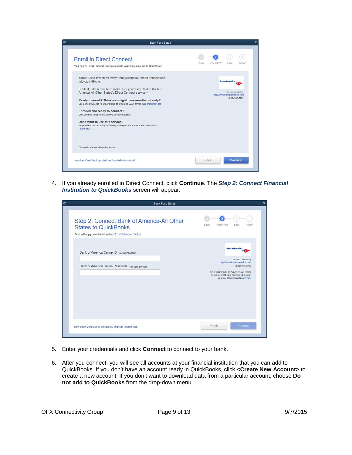| <b>Enroll in Direct Connect</b><br>Your bank's Direct Connect service connects your bank accounts to QuickBooks                                                                                                                                                                                                                                                                                                                                                                                                                                                                                                                                     | <b>FIND</b><br>CONNECT<br>LINK<br>DONE                                                              |
|-----------------------------------------------------------------------------------------------------------------------------------------------------------------------------------------------------------------------------------------------------------------------------------------------------------------------------------------------------------------------------------------------------------------------------------------------------------------------------------------------------------------------------------------------------------------------------------------------------------------------------------------------------|-----------------------------------------------------------------------------------------------------|
| You're just a few steps away from getting your bank transactions<br>into QuickBooks<br>But first, take a minute to make sure you're enrolled in Bank of<br>America-All Other States's Direct Connect service *<br>Ready to enroll? Think you might have enrolled already?<br>Call Bank of America-All Other States at (800) 933-6262, or visit their enrollment site.<br>Enrolled and ready to connect?<br>Click continue to log in and connect to your accounts.<br>Don't want to use this service?<br>No problem! You can always manually import your transactions into QuickBooks.<br>Here's how.<br>"You may be charged a fee for this service. | <b>Bank of America</b> .<br>Service provided by<br>http://www.bankofamerica.com<br>$(800)$ 933-6262 |
| How does QuickBooks protect my financial information?                                                                                                                                                                                                                                                                                                                                                                                                                                                                                                                                                                                               | Continue<br>Back                                                                                    |

4. If you already enrolled in Direct Connect, click **Continue**. The *Step 2: Connect Financial Institution to QuickBooks* screen will appear.

| <b>Bank Feed Setup</b>                                                                                                              |                                                                                                                                                                                                                    |
|-------------------------------------------------------------------------------------------------------------------------------------|--------------------------------------------------------------------------------------------------------------------------------------------------------------------------------------------------------------------|
| Step 2: Connect Bank of America-All Other<br><b>States to QuickBooks</b><br>Fees will apply. Want more options? Use Advanced Setup. | $\overline{2}$<br><b>LINK</b><br><b>FIND</b><br>CONNECT<br><b>DONE</b>                                                                                                                                             |
| Bank of America Online ID For your account<br>Bank of America Online Passcode For your account                                      | <b>Bank of America.</b><br>Service provided by<br>http://www.bankofamerica.com<br>$(800)$ 933-6262<br>Use your Bank of America-All Other<br>States user ID and password to sign<br>in here. Click here to activate |
| How does QuickBooks protect my financial information?                                                                               | Connect<br>Back                                                                                                                                                                                                    |

- 5. Enter your credentials and click **Connect** to connect to your bank.
- 6. After you connect, you will see all accounts at your financial institution that you can add to QuickBooks. If you don't have an account ready in QuickBooks, click **<Create New Account>** to create a new account. If you don't want to download data from a particular account, choose **Do not add to QuickBooks** from the drop-down menu.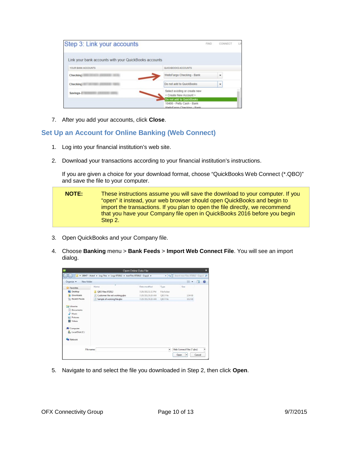| Step 3: Link your accounts                            | <b>FIND</b>                                                                         | CONNECT |  |
|-------------------------------------------------------|-------------------------------------------------------------------------------------|---------|--|
| Link your bank accounts with your QuickBooks accounts |                                                                                     |         |  |
| YOUR BANK ACCOUNTS                                    | QUICKBOOKS ACCOUNTS                                                                 |         |  |
| Checking                                              | WellsFargo Checking - Bank                                                          |         |  |
| Checking                                              | Do not add to QuickBooks                                                            |         |  |
| Savings-                                              | Select existing or create new<br>< Create New Account >                             |         |  |
|                                                       | Do not add to QuickBooks<br>10400 - Petty Cash - Bank<br>WalleForno Chacking - Ronk |         |  |

7. After you add your accounts, click **Close**.

#### <span id="page-9-0"></span>**Set Up an Account for Online Banking (Web Connect)**

- 1. Log into your financial institution's web site.
- 2. Download your transactions according to your financial institution's instructions.

If you are given a choice for your download format, choose "QuickBooks Web Connect (\*.QBO)" and save the file to your computer.

| <b>NOTE:</b> | These instructions assume you will save the download to your computer. If you |
|--------------|-------------------------------------------------------------------------------|
|              | "open" it instead, your web browser should open QuickBooks and begin to       |
|              | import the transactions. If you plan to open the file directly, we recommend  |
|              | that you have your Company file open in QuickBooks 2016 before you begin      |
|              | Step 2.                                                                       |

- 3. Open QuickBooks and your Company file.
- 4. Choose **Banking** menu > **Bank Feeds** > **Import Web Connect File**. You will see an import dialog.

|                                           |                                                                                  | Open Online Data File |             |                                    | ×              |
|-------------------------------------------|----------------------------------------------------------------------------------|-----------------------|-------------|------------------------------------|----------------|
|                                           | « 28847 - Adeel > Log Files > Logs 072012 > test Files 072012 - Copy1 ><br>$-44$ |                       |             | Search test Files 072012 - Copy1 P |                |
| New folder<br>Organize w                  |                                                                                  |                       |             | $=$                                | $\Omega$<br>Сü |
| Favorites                                 | Name                                                                             | Date modified         | Type        | Size                               |                |
| Desktop                                   | OBO Files 072012                                                                 | 7/20/2012 1:32 PM     | File folder |                                    |                |
| Downloads                                 | 14<br>Customer file not working abo                                              | 7/20/2012 9:26 AM     | OBO File    | 134 KB                             |                |
| <b>Recent Places</b>                      | Sample of working file.gbo                                                       | 7/20/2012 9:26 AM     | OBO File    | 102 KB                             |                |
| h<br>Music<br>Pictures<br><b>N</b> Videos |                                                                                  |                       |             |                                    |                |
| Computer                                  |                                                                                  |                       |             |                                    |                |
| Local Disk (C:)                           |                                                                                  |                       |             |                                    |                |
| <b>W</b> Network                          |                                                                                  |                       |             |                                    |                |
| File name:                                |                                                                                  |                       | ۰           | Web Connect Files (".gbo)          | ۳              |
|                                           |                                                                                  |                       |             | Open                               | Cancel         |

5. Navigate to and select the file you downloaded in Step 2, then click **Open**.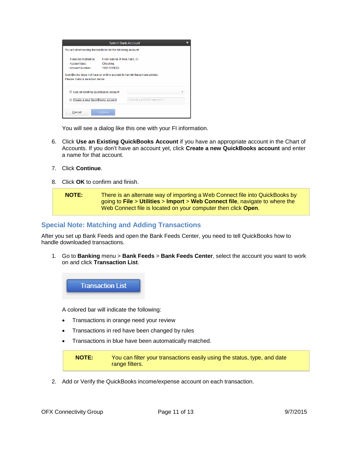|                                                                                                                                              |                                                           | <b>Select Bank Account</b>     | × |
|----------------------------------------------------------------------------------------------------------------------------------------------|-----------------------------------------------------------|--------------------------------|---|
| You are downloading transactions for the following account:                                                                                  |                                                           |                                |   |
| - Financial Institution:<br>- Account type:<br>- Account number:<br>QuickBooks does not have an online account to handle these transactions. | First Federal of Twin Falls, ID<br>Checking<br>19017819DD |                                |   |
| Please make a selection below.                                                                                                               |                                                           |                                |   |
| Use an existing QuickBooks account                                                                                                           |                                                           |                                |   |
| Create a new QuickBooks acco                                                                                                                 |                                                           | Checking at First Federal of T |   |
|                                                                                                                                              |                                                           |                                |   |

You will see a dialog like this one with your FI information.

- 6. Click **Use an Existing QuickBooks Account** if you have an appropriate account in the Chart of Accounts. If you don't have an account yet, click **Create a new QuickBooks account** and enter a name for that account.
- 7. Click **Continue**.
- 8. Click **OK** to confirm and finish.

| <b>NOTE:</b> | There is an alternate way of importing a Web Connect file into QuickBooks by |
|--------------|------------------------------------------------------------------------------|
|              | going to File > Utilities > Import > Web Connect file, navigate to where the |
|              | Web Connect file is located on your computer then click Open.                |

#### <span id="page-10-0"></span>**Special Note: Matching and Adding Transactions**

After you set up Bank Feeds and open the Bank Feeds Center, you need to tell QuickBooks how to handle downloaded transactions.

1. Go to **Banking** menu > **Bank Feeds** > **Bank Feeds Center**, select the account you want to work on and click **Transaction List**.

**Transaction List** 

A colored bar will indicate the following:

- Transactions in orange need your review
- Transactions in red have been changed by rules
- Transactions in blue have been automatically matched.

**NOTE:** You can filter your transactions easily using the status, type, and date range filters.

2. Add or Verify the QuickBooks income/expense account on each transaction.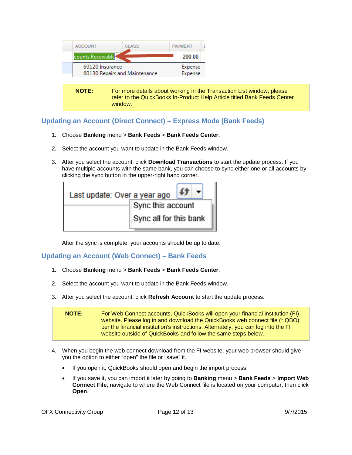

**NOTE:** For more details about working in the Transaction List window, please refer to the QuickBooks In-Product Help Article titled Bank Feeds Center window.

## <span id="page-11-0"></span>**Updating an Account (Direct Connect) – Express Mode (Bank Feeds)**

- 1. Choose **Banking** menu > **Bank Feeds** > **Bank Feeds Center**.
- 2. Select the account you want to update in the Bank Feeds window.
- 3. After you select the account, click **Download Transactions** to start the update process. If you have multiple accounts with the same bank, you can choose to sync either one or all accounts by clicking the sync button in the upper-right hand corner.

| Last update: Over a year ago |                        |
|------------------------------|------------------------|
|                              | Sync this account      |
|                              | Sync all for this bank |

After the sync is complete, your accounts should be up to date.

#### <span id="page-11-1"></span>**Updating an Account (Web Connect) – Bank Feeds**

- 1. Choose **Banking** menu > **Bank Feeds** > **Bank Feeds Center**.
- 2. Select the account you want to update in the Bank Feeds window.
- 3. After you select the account, click **Refresh Account** to start the update process.

**NOTE:** For Web Connect accounts, QuickBooks will open your financial institution (FI) website. Please log in and download the QuickBooks web connect file (\*.QBO) per the financial institution's instructions. Alternately, you can log into the FI website outside of QuickBooks and follow the same steps below.

- 4. When you begin the web connect download from the FI website, your web browser should give you the option to either "open" the file or "save" it.
	- If you open it, QuickBooks should open and begin the import process.
	- If you save it, you can import it later by going to **Banking** menu > **Bank Feeds** > **Import Web Connect File**, navigate to where the Web Connect file is located on your computer, then click **Open**.